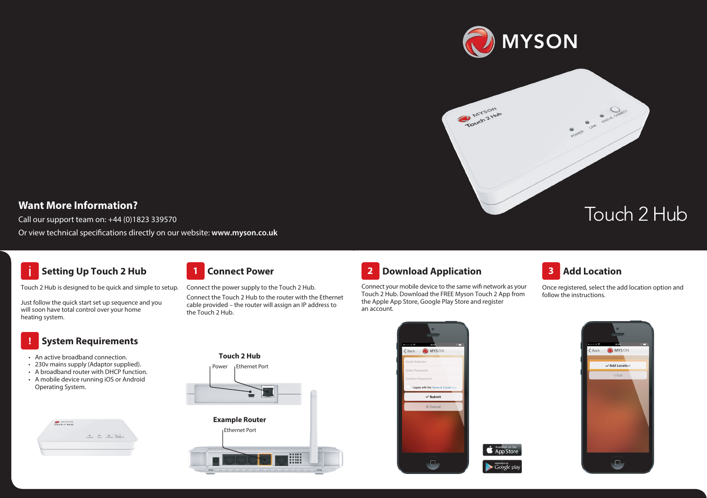

MYSON

### **Want More Information?**

Call our support team on: +44 (0)1823 339570

Or view technical specifications directly on our website: www.myson.co.uk

# **Setting Up Touch 2 Hub**



Touch 2 Hub is designed to be quick and simple to setup.

Just follow the quick start set up sequence and you will soon have total control over your home heating system.

#### **System Requirements**

• An active broadband connection.

**!**

- 230v mains supply (Adaptor supplied).
- A broadband router with DHCP function.
- A mobile device running iOS or Android Operating System.





Connect the power supply to the Touch 2 Hub.

**Touch 2 Hub**

Power **Ethernet Port** 

**Example Router**

Ethernet Port

Connect the Touch 2 Hub to the router with the Ethernet cable provided – the router will assign an IP address to the Touch 2 Hub.

om r wanted the FREE MYSON Touch 2 Hub. Touch 2 Hub. Touch 2 Hub. Touch 2 Hub. Touch 2 Hub. Touch 2 Hub. Touch er t is ger and e r ot S yal P oogle G oogle G, er ot S pple A pple A pple A the A pple A pple A pple A pple A pple A the A pple A the A pple A pple A pple A pple A the A pple A the A pple A the A pple A the A pple A the A

Connect your mobile device to the same will be a your mobile device to the same will be a



Touch 2 Hub. Download the FREE Myson Touch 2 App from the Apple App Store, Google Play Store and register an account. Connect your mobile device to the same wifi network as your



POINTER JUST STATES OPPRESS

Once registered, select the add location option and follow the instructions.

Touch 2 Hub